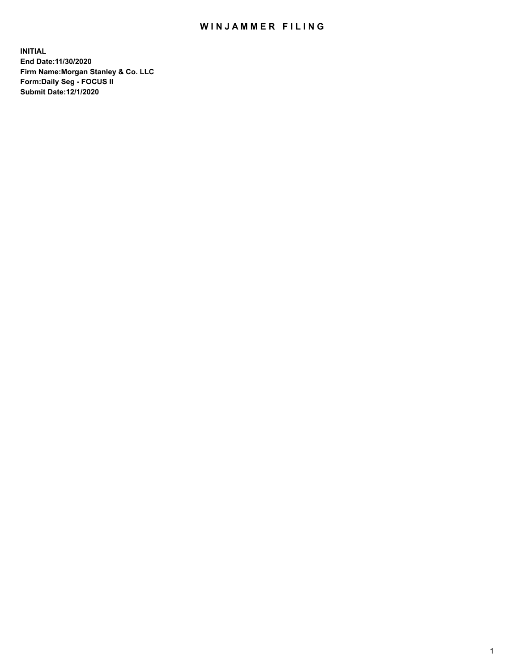## WIN JAMMER FILING

**INITIAL End Date:11/30/2020 Firm Name:Morgan Stanley & Co. LLC Form:Daily Seg - FOCUS II Submit Date:12/1/2020**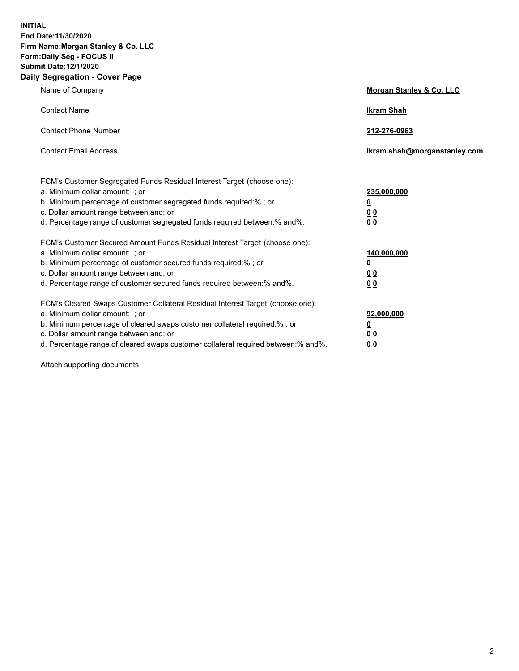**INITIAL End Date:11/30/2020 Firm Name:Morgan Stanley & Co. LLC Form:Daily Seg - FOCUS II Submit Date:12/1/2020 Daily Segregation - Cover Page**

| Name of Company                                                                                                                                                                                                                                                                                                                | Morgan Stanley & Co. LLC                                |
|--------------------------------------------------------------------------------------------------------------------------------------------------------------------------------------------------------------------------------------------------------------------------------------------------------------------------------|---------------------------------------------------------|
| <b>Contact Name</b>                                                                                                                                                                                                                                                                                                            | <b>Ikram Shah</b>                                       |
| <b>Contact Phone Number</b>                                                                                                                                                                                                                                                                                                    | 212-276-0963                                            |
| <b>Contact Email Address</b>                                                                                                                                                                                                                                                                                                   | Ikram.shah@morganstanley.com                            |
| FCM's Customer Segregated Funds Residual Interest Target (choose one):<br>a. Minimum dollar amount: ; or<br>b. Minimum percentage of customer segregated funds required:% ; or<br>c. Dollar amount range between: and; or<br>d. Percentage range of customer segregated funds required between:% and%.                         | 235,000,000<br><u>0</u><br><u>00</u><br><u>00</u>       |
| FCM's Customer Secured Amount Funds Residual Interest Target (choose one):<br>a. Minimum dollar amount: ; or<br>b. Minimum percentage of customer secured funds required:%; or<br>c. Dollar amount range between: and; or<br>d. Percentage range of customer secured funds required between:% and%.                            | 140,000,000<br><u>0</u><br><u>0 0</u><br>0 <sub>0</sub> |
| FCM's Cleared Swaps Customer Collateral Residual Interest Target (choose one):<br>a. Minimum dollar amount: ; or<br>b. Minimum percentage of cleared swaps customer collateral required:% ; or<br>c. Dollar amount range between: and; or<br>d. Percentage range of cleared swaps customer collateral required between:% and%. | 92,000,000<br><u>0</u><br><u>00</u><br>00               |

Attach supporting documents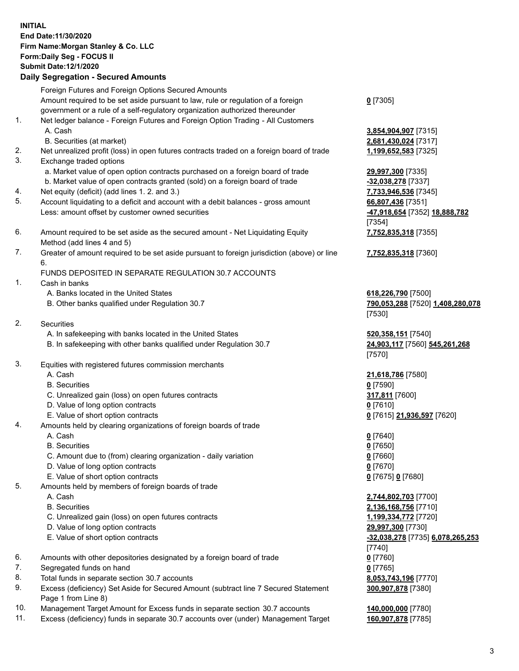## **INITIAL End Date:11/30/2020 Firm Name:Morgan Stanley & Co. LLC Form:Daily Seg - FOCUS II Submit Date:12/1/2020 Daily Segregation - Secured Amounts** Foreign Futures and Foreign Options Secured Amounts Amount required to be set aside pursuant to law, rule or regulation of a foreign government or a rule of a self-regulatory organization authorized thereunder **0** [7305] 1. Net ledger balance - Foreign Futures and Foreign Option Trading - All Customers A. Cash **3,854,904,907** [7315] B. Securities (at market) **2,681,430,024** [7317] 2. Net unrealized profit (loss) in open futures contracts traded on a foreign board of trade **1,199,652,583** [7325] 3. Exchange traded options a. Market value of open option contracts purchased on a foreign board of trade **29,997,300** [7335] b. Market value of open contracts granted (sold) on a foreign board of trade **-32,038,278** [7337] 4. Net equity (deficit) (add lines 1. 2. and 3.) **7,733,946,536** [7345] 5. Account liquidating to a deficit and account with a debit balances - gross amount **66,807,436** [7351] Less: amount offset by customer owned securities **-47,918,654** [7352] **18,888,782** [7354] 6. Amount required to be set aside as the secured amount - Net Liquidating Equity Method (add lines 4 and 5) **7,752,835,318** [7355] 7. Greater of amount required to be set aside pursuant to foreign jurisdiction (above) or line 6. **7,752,835,318** [7360] FUNDS DEPOSITED IN SEPARATE REGULATION 30.7 ACCOUNTS 1. Cash in banks A. Banks located in the United States **618,226,790** [7500] B. Other banks qualified under Regulation 30.7 **790,053,288** [7520] **1,408,280,078** [7530] 2. Securities A. In safekeeping with banks located in the United States **520,358,151** [7540] B. In safekeeping with other banks qualified under Regulation 30.7 **24,903,117** [7560] **545,261,268** [7570] 3. Equities with registered futures commission merchants A. Cash **21,618,786** [7580] B. Securities **0** [7590] C. Unrealized gain (loss) on open futures contracts **317,811** [7600] D. Value of long option contracts **0** [7610] E. Value of short option contracts **0** [7615] **21,936,597** [7620] 4. Amounts held by clearing organizations of foreign boards of trade A. Cash **0** [7640] B. Securities **0** [7650] C. Amount due to (from) clearing organization - daily variation **0** [7660] D. Value of long option contracts **0** [7670] E. Value of short option contracts **0** [7675] **0** [7680] 5. Amounts held by members of foreign boards of trade A. Cash **2,744,802,703** [7700] B. Securities **2,136,168,756** [7710] C. Unrealized gain (loss) on open futures contracts **1,199,334,772** [7720] D. Value of long option contracts **29,997,300** [7730] E. Value of short option contracts **-32,038,278** [7735] **6,078,265,253** [7740] 6. Amounts with other depositories designated by a foreign board of trade **0** [7760] 7. Segregated funds on hand **0** [7765] 8. Total funds in separate section 30.7 accounts **8,053,743,196** [7770] 9. Excess (deficiency) Set Aside for Secured Amount (subtract line 7 Secured Statement **300,907,878** [7380]

- Page 1 from Line 8)
- 10. Management Target Amount for Excess funds in separate section 30.7 accounts **140,000,000** [7780]
- 11. Excess (deficiency) funds in separate 30.7 accounts over (under) Management Target **160,907,878** [7785]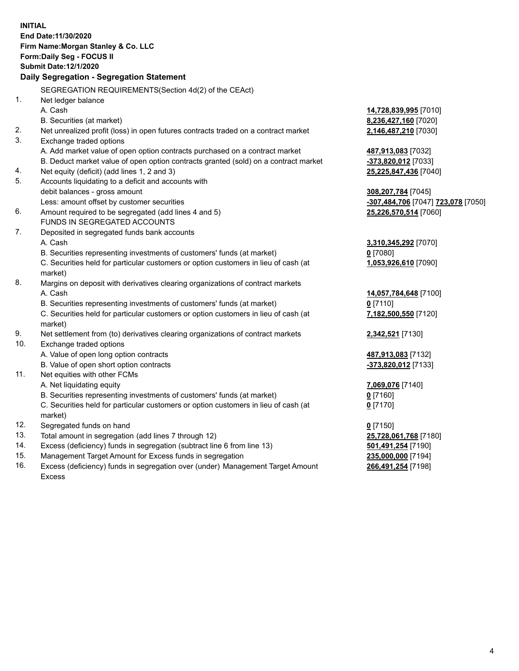|            | <b>INITIAL</b>                                                                                                                  |                                                        |
|------------|---------------------------------------------------------------------------------------------------------------------------------|--------------------------------------------------------|
|            | End Date: 11/30/2020                                                                                                            |                                                        |
|            | Firm Name: Morgan Stanley & Co. LLC                                                                                             |                                                        |
|            | Form: Daily Seg - FOCUS II                                                                                                      |                                                        |
|            | <b>Submit Date:12/1/2020</b>                                                                                                    |                                                        |
|            | Daily Segregation - Segregation Statement                                                                                       |                                                        |
|            | SEGREGATION REQUIREMENTS(Section 4d(2) of the CEAct)                                                                            |                                                        |
| 1.         | Net ledger balance                                                                                                              |                                                        |
|            | A. Cash                                                                                                                         | 14,728,839,995 [7010]                                  |
|            | B. Securities (at market)                                                                                                       | 8,236,427,160 [7020]                                   |
| 2.         | Net unrealized profit (loss) in open futures contracts traded on a contract market                                              | 2,146,487,210 [7030]                                   |
| 3.         | Exchange traded options                                                                                                         |                                                        |
|            | A. Add market value of open option contracts purchased on a contract market                                                     | 487,913,083 [7032]                                     |
|            | B. Deduct market value of open option contracts granted (sold) on a contract market                                             | -373,820,012 [7033]                                    |
| 4.         | Net equity (deficit) (add lines 1, 2 and 3)                                                                                     | 25,225,847,436 [7040]                                  |
| 5.         | Accounts liquidating to a deficit and accounts with                                                                             |                                                        |
|            | debit balances - gross amount                                                                                                   | 308,207,784 [7045]                                     |
|            | Less: amount offset by customer securities                                                                                      | <mark>-307,484,706</mark> [7047] <b>723,078</b> [7050] |
| 6.         | Amount required to be segregated (add lines 4 and 5)                                                                            | 25,226,570,514 [7060]                                  |
|            | FUNDS IN SEGREGATED ACCOUNTS                                                                                                    |                                                        |
| 7.         | Deposited in segregated funds bank accounts                                                                                     |                                                        |
|            | A. Cash                                                                                                                         | 3,310,345,292 [7070]                                   |
|            | B. Securities representing investments of customers' funds (at market)                                                          | $0$ [7080]                                             |
|            | C. Securities held for particular customers or option customers in lieu of cash (at                                             | 1,053,926,610 [7090]                                   |
|            | market)                                                                                                                         |                                                        |
| 8.         | Margins on deposit with derivatives clearing organizations of contract markets                                                  |                                                        |
|            | A. Cash                                                                                                                         | 14,057,784,648 [7100]                                  |
|            | B. Securities representing investments of customers' funds (at market)                                                          | $0$ [7110]                                             |
|            | C. Securities held for particular customers or option customers in lieu of cash (at                                             | 7,182,500,550 [7120]                                   |
|            | market)                                                                                                                         |                                                        |
| 9.         | Net settlement from (to) derivatives clearing organizations of contract markets                                                 | 2,342,521 [7130]                                       |
| 10.        | Exchange traded options                                                                                                         |                                                        |
|            | A. Value of open long option contracts                                                                                          | 487,913,083 [7132]                                     |
|            | B. Value of open short option contracts                                                                                         | -373,820,012 [7133]                                    |
| 11.        | Net equities with other FCMs                                                                                                    |                                                        |
|            | A. Net liquidating equity                                                                                                       | 7,069,076 [7140]                                       |
|            | B. Securities representing investments of customers' funds (at market)                                                          | $0$ [7160]                                             |
|            | C. Securities held for particular customers or option customers in lieu of cash (at                                             | $0$ [7170]                                             |
|            | market)                                                                                                                         |                                                        |
| 12.        | Segregated funds on hand                                                                                                        | $0$ [7150]                                             |
| 13.<br>14. | Total amount in segregation (add lines 7 through 12)<br>Excess (deficiency) funds in segregation (subtract line 6 from line 13) | 25,728,061,768 [7180]                                  |
| 15.        | Management Target Amount for Excess funds in segregation                                                                        | 501,491,254 [7190]<br>235,000,000 [7194]               |
| 16.        | Excess (deficiency) funds in segregation over (under) Management Target Amount                                                  | 266,491,254 [7198]                                     |
|            |                                                                                                                                 |                                                        |

Excess